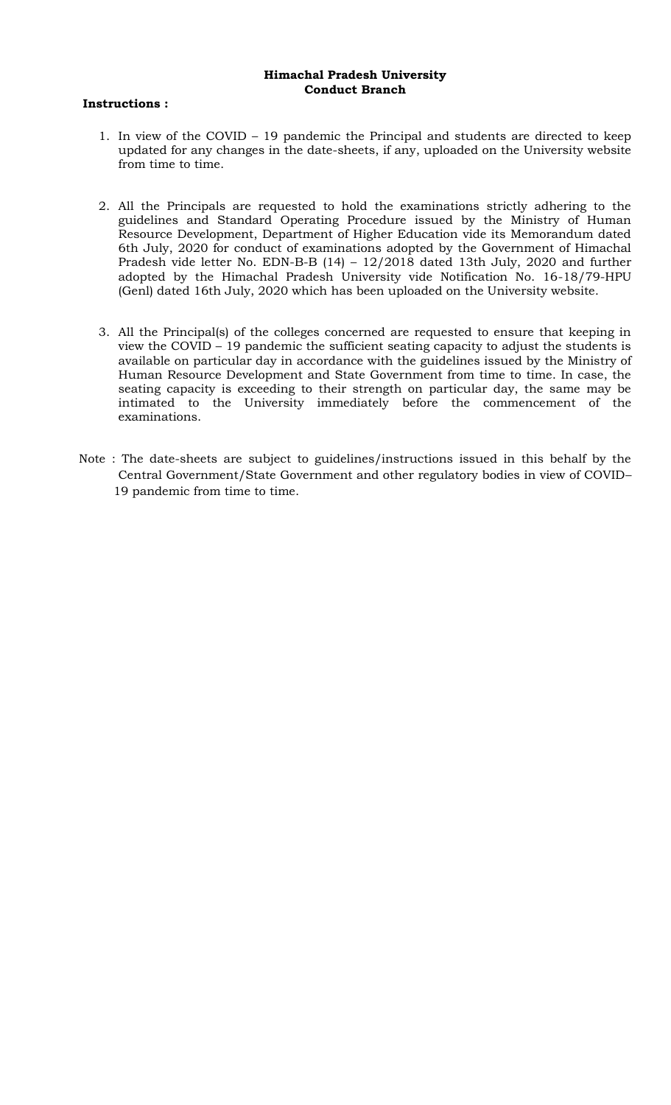### **Himachal Pradesh University Conduct Branch**

### **Instructions :**

- 1. In view of the COVID 19 pandemic the Principal and students are directed to keep updated for any changes in the date-sheets, if any, uploaded on the University website from time to time.
- 2. All the Principals are requested to hold the examinations strictly adhering to the guidelines and Standard Operating Procedure issued by the Ministry of Human Resource Development, Department of Higher Education vide its Memorandum dated 6th July, 2020 for conduct of examinations adopted by the Government of Himachal Pradesh vide letter No. EDN-B-B (14) – 12/2018 dated 13th July, 2020 and further adopted by the Himachal Pradesh University vide Notification No. 16-18/79-HPU (Genl) dated 16th July, 2020 which has been uploaded on the University website.
- 3. All the Principal(s) of the colleges concerned are requested to ensure that keeping in view the COVID – 19 pandemic the sufficient seating capacity to adjust the students is available on particular day in accordance with the guidelines issued by the Ministry of Human Resource Development and State Government from time to time. In case, the seating capacity is exceeding to their strength on particular day, the same may be intimated to the University immediately before the commencement of the examinations.
- Note : The date-sheets are subject to guidelines/instructions issued in this behalf by the Central Government/State Government and other regulatory bodies in view of COVID– 19 pandemic from time to time.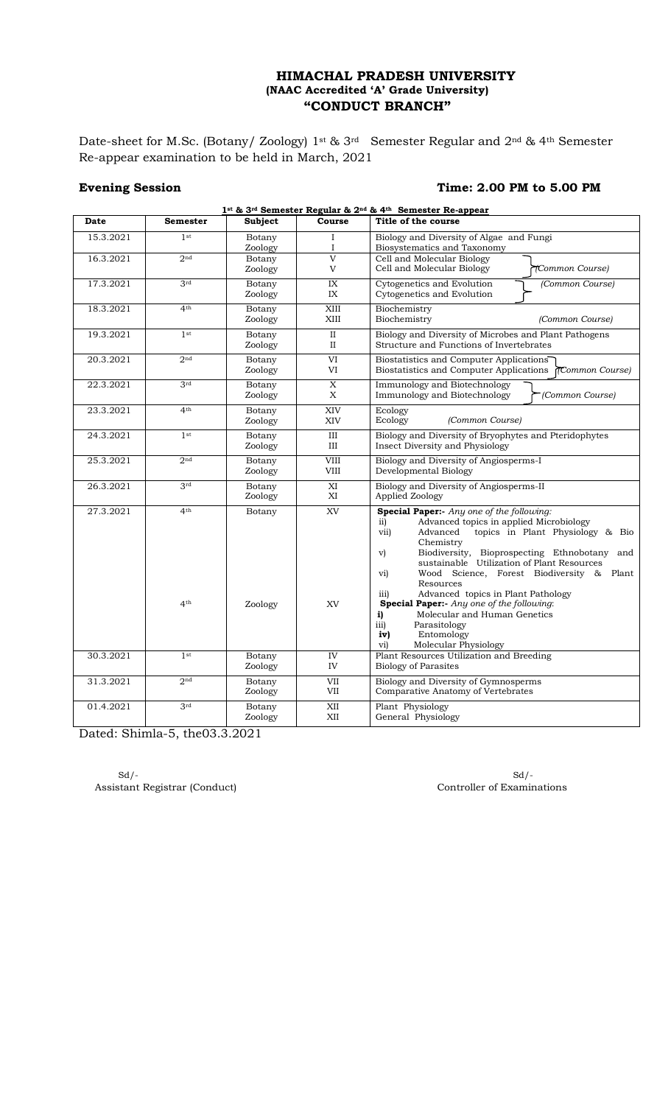Date-sheet for M.Sc. (Botany/ Zoology) 1st & 3rd Semester Regular and 2nd & 4th Semester Re-appear examination to be held in March, 2021

# **Evening Session** Time: 2.00 PM to 5.00 PM

| 1st & 3rd Semester Regular & 2nd & 4th Semester Re-appear |                                    |                   |                         |                                                                                                                                                                                                                                                                                                                                                                                                                                                                                                                                                                                      |
|-----------------------------------------------------------|------------------------------------|-------------------|-------------------------|--------------------------------------------------------------------------------------------------------------------------------------------------------------------------------------------------------------------------------------------------------------------------------------------------------------------------------------------------------------------------------------------------------------------------------------------------------------------------------------------------------------------------------------------------------------------------------------|
| Date                                                      | <b>Semester</b>                    | <b>Subject</b>    | Course                  | Title of the course                                                                                                                                                                                                                                                                                                                                                                                                                                                                                                                                                                  |
| 15.3.2021                                                 | 1 <sup>st</sup>                    | Botany<br>Zoology | $\mathbf I$<br>Ι.       | Biology and Diversity of Algae and Fungi<br>Biosystematics and Taxonomy                                                                                                                                                                                                                                                                                                                                                                                                                                                                                                              |
| 16.3.2021                                                 | 2 <sub>nd</sub>                    | Botany<br>Zoology | $\overline{V}$<br>V     | Cell and Molecular Biology<br>Cell and Molecular Biology<br>TCommon Course)                                                                                                                                                                                                                                                                                                                                                                                                                                                                                                          |
| 17.3.2021                                                 | 3rd                                | Botany<br>Zoology | IX<br>IX                | Cytogenetics and Evolution<br>(Common Course)<br>Cytogenetics and Evolution                                                                                                                                                                                                                                                                                                                                                                                                                                                                                                          |
| 18.3.2021                                                 | 4 <sup>th</sup>                    | Botany<br>Zoology | XIII<br>$\mbox{XIII}$   | Biochemistry<br>Biochemistry<br>(Common Course)                                                                                                                                                                                                                                                                                                                                                                                                                                                                                                                                      |
| 19.3.2021                                                 | 1 <sup>st</sup>                    | Botany<br>Zoology | $\rm II$<br>$_{\rm II}$ | Biology and Diversity of Microbes and Plant Pathogens<br>Structure and Functions of Invertebrates                                                                                                                                                                                                                                                                                                                                                                                                                                                                                    |
| 20.3.2021                                                 | 2 <sub>nd</sub>                    | Botany<br>Zoology | VI<br>VI                | Biostatistics and Computer Applications<br>Biostatistics and Computer Applications (Common Course)                                                                                                                                                                                                                                                                                                                                                                                                                                                                                   |
| 22.3.2021                                                 | 3rd                                | Botany<br>Zoology | $\mathbf X$<br>X        | Immunology and Biotechnology<br>Immunology and Biotechnology<br>(Common Course)                                                                                                                                                                                                                                                                                                                                                                                                                                                                                                      |
| 23.3.2021                                                 | 4 <sup>th</sup>                    | Botany<br>Zoology | XIV<br>XIV              | Ecology<br>Ecology<br>(Common Course)                                                                                                                                                                                                                                                                                                                                                                                                                                                                                                                                                |
| 24.3.2021                                                 | 1 <sub>st</sub>                    | Botany<br>Zoology | Ш<br>Ш                  | Biology and Diversity of Bryophytes and Pteridophytes<br>Insect Diversity and Physiology                                                                                                                                                                                                                                                                                                                                                                                                                                                                                             |
| 25.3.2021                                                 | 2nd                                | Botany<br>Zoology | VIII<br>VIII            | Biology and Diversity of Angiosperms-I<br>Developmental Biology                                                                                                                                                                                                                                                                                                                                                                                                                                                                                                                      |
| 26.3.2021                                                 | 3rd                                | Botany<br>Zoology | XI<br>XI                | Biology and Diversity of Angiosperms-II<br>Applied Zoology                                                                                                                                                                                                                                                                                                                                                                                                                                                                                                                           |
| 27.3.2021                                                 | 4 <sup>th</sup><br>4 <sup>th</sup> | Botany<br>Zoology | <b>XV</b><br>XV         | Special Paper:- Any one of the following:<br>Advanced topics in applied Microbiology<br>$\overline{11}$<br>topics in Plant Physiology & Bio<br>vii)<br>Advanced<br>Chemistry<br>Biodiversity, Bioprospecting Ethnobotany and<br>$\mathbf{v}$<br>sustainable Utilization of Plant Resources<br>Wood Science, Forest Biodiversity & Plant<br>vi)<br>Resources<br>Advanced topics in Plant Pathology<br>$\overline{111}$<br>Special Paper:- Any one of the following:<br>Molecular and Human Genetics<br>i)<br>iii)<br>Parasitology<br>Entomology<br>iv)<br>Molecular Physiology<br>vi) |
| 30.3.2021                                                 | 1 <sub>st</sub>                    | Botany<br>Zoology | IV<br>IV                | Plant Resources Utilization and Breeding<br><b>Biology of Parasites</b>                                                                                                                                                                                                                                                                                                                                                                                                                                                                                                              |
| 31.3.2021                                                 | 2 <sub>nd</sub>                    | Botany<br>Zoology | <b>VII</b><br>VII       | Biology and Diversity of Gymnosperms<br>Comparative Anatomy of Vertebrates                                                                                                                                                                                                                                                                                                                                                                                                                                                                                                           |
| 01.4.2021                                                 | 3 <sup>rd</sup>                    | Botany<br>Zoology | XII<br>XII              | Plant Physiology<br>General Physiology                                                                                                                                                                                                                                                                                                                                                                                                                                                                                                                                               |

Dated: Shimla-5, the03.3.2021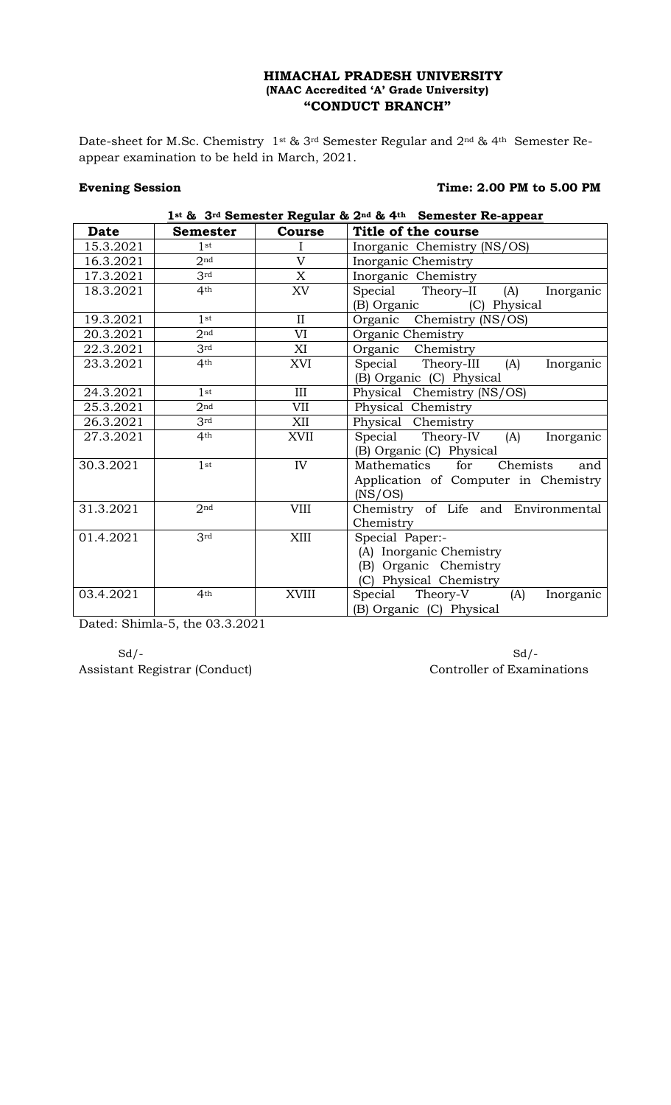Date-sheet for M.Sc. Chemistry 1st & 3rd Semester Regular and 2nd & 4th Semester Reappear examination to be held in March, 2021.

### **Evening Session** Time: 2.00 PM to 5.00 PM

**1st & 3rd Semester Regular & 2nd & 4th Semester Re-appear**

| Date      | <b>Semester</b> | <b>Course</b>  | Title of the course                       |
|-----------|-----------------|----------------|-------------------------------------------|
| 15.3.2021 | 1st             |                | Inorganic Chemistry (NS/OS)               |
| 16.3.2021 | 2 <sub>nd</sub> | $\overline{V}$ | Inorganic Chemistry                       |
| 17.3.2021 | 3rd             | X              | Inorganic Chemistry                       |
| 18.3.2021 | 4 <sup>th</sup> | XV             | Special<br>Theory–II<br>(A)<br>Inorganic  |
|           |                 |                | (B) Organic<br>(C) Physical               |
| 19.3.2021 | 1st             | $\mathbf{I}$   | Organic<br>Chemistry (NS/OS)              |
| 20.3.2021 | 2 <sub>nd</sub> | VI             | Organic Chemistry                         |
| 22.3.2021 | 3 <sup>rd</sup> | XI             | Organic Chemistry                         |
| 23.3.2021 | 4 <sup>th</sup> | XVI            | Special<br>Theory-III<br>(A)<br>Inorganic |
|           |                 |                | (B) Organic (C) Physical                  |
| 24.3.2021 | 1 <sub>st</sub> | III            | Physical Chemistry (NS/OS)                |
| 25.3.2021 | 2 <sub>nd</sub> | VII            | Physical Chemistry                        |
| 26.3.2021 | 3rd             | XII            | Physical Chemistry                        |
| 27.3.2021 | 4 <sup>th</sup> | XVII           | Special<br>Theory-IV<br>(A)<br>Inorganic  |
|           |                 |                | (B) Organic (C) Physical                  |
| 30.3.2021 | 1 <sub>st</sub> | IV             | Mathematics<br>for<br>Chemists<br>and     |
|           |                 |                | Application of Computer in Chemistry      |
|           |                 |                | (NS/OS)                                   |
| 31.3.2021 | 2 <sub>nd</sub> | <b>VIII</b>    | Chemistry of Life and Environmental       |
|           |                 |                | Chemistry                                 |
| 01.4.2021 | 3rd             | XIII           | Special Paper:-                           |
|           |                 |                | (A) Inorganic Chemistry                   |
|           |                 |                | (B) Organic Chemistry                     |
|           |                 |                | (C) Physical Chemistry                    |
| 03.4.2021 | 4 <sup>th</sup> | <b>XVIII</b>   | Special Theory-V<br>(A)<br>Inorganic      |
|           |                 |                | (B) Organic (C) Physical                  |

Dated: Shimla-5, the 03.3.2021

Assistant Registrar (Conduct) Controller of Examinations

 $Sd$  -  $Sd$  -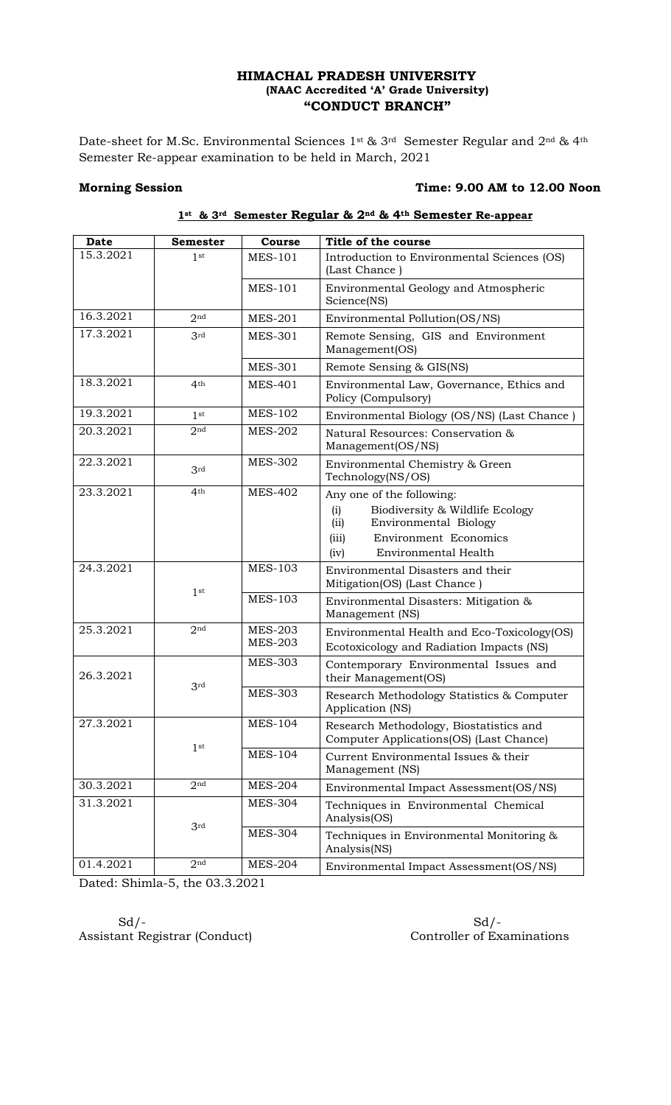Date-sheet for M.Sc. Environmental Sciences 1st & 3rd Semester Regular and 2nd & 4th Semester Re-appear examination to be held in March, 2021

### Morning Session Time: 9.00 AM to 12.00 Noon

| <b>Date</b> | <b>Semester</b> | Course                           | Title of the course                                                                                                                                                           |
|-------------|-----------------|----------------------------------|-------------------------------------------------------------------------------------------------------------------------------------------------------------------------------|
| 15.3.2021   | 1 <sup>st</sup> | <b>MES-101</b>                   | Introduction to Environmental Sciences (OS)<br>(Last Chance)                                                                                                                  |
|             |                 | <b>MES-101</b>                   | Environmental Geology and Atmospheric<br>Science(NS)                                                                                                                          |
| 16.3.2021   | 2 <sub>nd</sub> | <b>MES-201</b>                   | Environmental Pollution(OS/NS)                                                                                                                                                |
| 17.3.2021   | 3rd             | <b>MES-301</b>                   | Remote Sensing, GIS and Environment<br>Management(OS)                                                                                                                         |
|             |                 | <b>MES-301</b>                   | Remote Sensing & GIS(NS)                                                                                                                                                      |
| 18.3.2021   | 4 <sup>th</sup> | <b>MES-401</b>                   | Environmental Law, Governance, Ethics and<br>Policy (Compulsory)                                                                                                              |
| 19.3.2021   | 1 <sup>st</sup> | <b>MES-102</b>                   | Environmental Biology (OS/NS) (Last Chance)                                                                                                                                   |
| 20.3.2021   | 2 <sub>nd</sub> | <b>MES-202</b>                   | Natural Resources: Conservation &<br>Management(OS/NS)                                                                                                                        |
| 22.3.2021   | 3rd             | <b>MES-302</b>                   | Environmental Chemistry & Green<br>Technology(NS/OS)                                                                                                                          |
| 23.3.2021   | 4 <sup>th</sup> | <b>MES-402</b>                   | Any one of the following:<br>Biodiversity & Wildlife Ecology<br>(i)<br>(ii)<br>Environmental Biology<br><b>Environment Economics</b><br>(iii)<br>Environmental Health<br>(iv) |
| 24.3.2021   |                 | <b>MES-103</b>                   | Environmental Disasters and their<br>Mitigation(OS) (Last Chance)                                                                                                             |
|             | 1 <sup>st</sup> | <b>MES-103</b>                   | Environmental Disasters: Mitigation &<br>Management (NS)                                                                                                                      |
| 25.3.2021   | 2 <sub>nd</sub> | <b>MES-203</b><br><b>MES-203</b> | Environmental Health and Eco-Toxicology(OS)<br>Ecotoxicology and Radiation Impacts (NS)                                                                                       |
| 26.3.2021   |                 | <b>MES-303</b>                   | Contemporary Environmental Issues and<br>their Management(OS)                                                                                                                 |
|             | 3rd             | <b>MES-303</b>                   | Research Methodology Statistics & Computer<br>Application (NS)                                                                                                                |
| 27.3.2021   |                 | <b>MES-104</b>                   | Research Methodology, Biostatistics and<br>Computer Applications(OS) (Last Chance)                                                                                            |
|             | 1 <sup>st</sup> | <b>MES-104</b>                   | Current Environmental Issues & their<br>Management (NS)                                                                                                                       |
| 30.3.2021   | 2 <sup>nd</sup> | <b>MES-204</b>                   | Environmental Impact Assessment(OS/NS)                                                                                                                                        |
| 31.3.2021   | 3 <sup>rd</sup> | <b>MES-304</b>                   | Techniques in Environmental Chemical<br>Analysis(OS)                                                                                                                          |
|             |                 | <b>MES-304</b>                   | Techniques in Environmental Monitoring &<br>Analysis(NS)                                                                                                                      |
| 01.4.2021   | 2 <sub>nd</sub> | <b>MES-204</b>                   | Environmental Impact Assessment(OS/NS)                                                                                                                                        |

# **1st & 3rd Semester Regular & 2nd & 4th Semester Re-appear**

Dated: Shimla-5, the 03.3.2021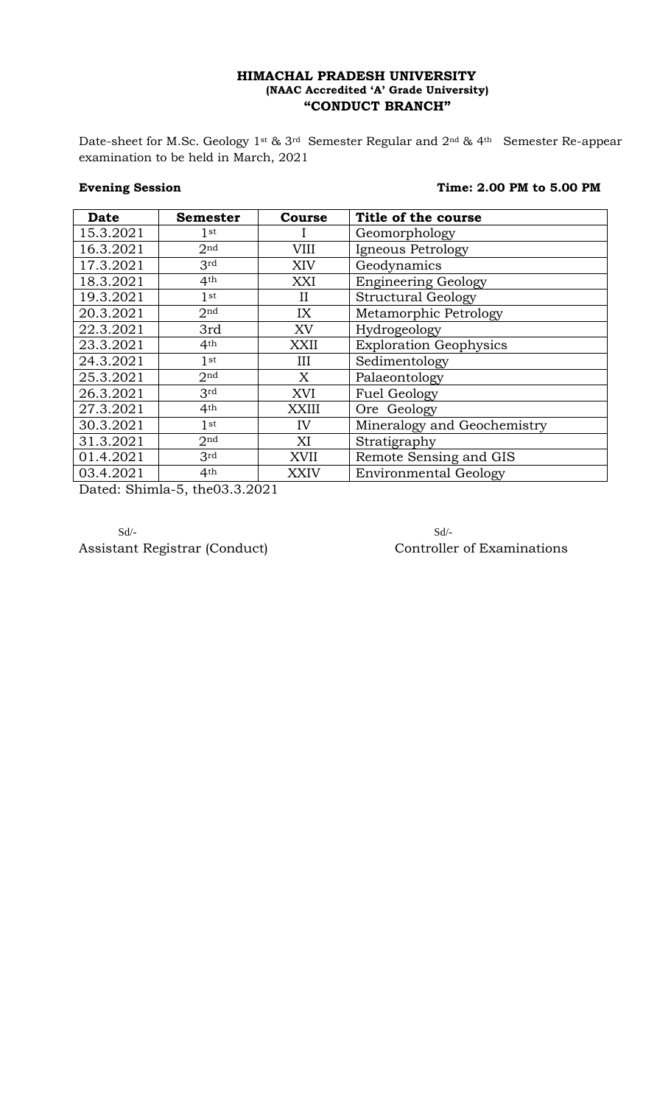Date-sheet for M.Sc. Geology 1st & 3rd Semester Regular and 2nd & 4th Semester Re-appear examination to be held in March, 2021

# **Evening Session** Time: 2.00 PM to 5.00 PM

| <b>Date</b> | <b>Semester</b>                                     | Course      | Title of the course           |
|-------------|-----------------------------------------------------|-------------|-------------------------------|
| 15.3.2021   | $1$ st                                              |             | Geomorphology                 |
| 16.3.2021   | 2 <sub>nd</sub>                                     | VIII        | Igneous Petrology             |
| 17.3.2021   | 3 <sup>rd</sup>                                     | XIV         | Geodynamics                   |
| 18.3.2021   | 4 <sup>th</sup>                                     | XXI         | <b>Engineering Geology</b>    |
| 19.3.2021   | $1$ st                                              | П           | <b>Structural Geology</b>     |
| 20.3.2021   | 2 <sup>nd</sup>                                     | IX          | Metamorphic Petrology         |
| 22.3.2021   | 3rd                                                 | XV          | Hydrogeology                  |
| 23.3.2021   | 4 <sup>th</sup>                                     | XXII        | <b>Exploration Geophysics</b> |
| 24.3.2021   | $1$ st                                              | Ш           | Sedimentology                 |
| 25.3.2021   | 2 <sup>nd</sup>                                     | X           | Palaeontology                 |
| 26.3.2021   | 3rd                                                 | XVI         | <b>Fuel Geology</b>           |
| 27.3.2021   | 4 <sup>th</sup>                                     | XXIII       | Ore Geology                   |
| 30.3.2021   | 1 <sub>st</sub>                                     | IV          | Mineralogy and Geochemistry   |
| 31.3.2021   | 2 <sup>nd</sup>                                     | XI          | Stratigraphy                  |
| 01.4.2021   | 3rd                                                 | XVII        | Remote Sensing and GIS        |
| 03.4.2021   | 4 <sup>th</sup><br>$\sim$ 0.000 $\sim$ 0.000 $\sim$ | <b>XXIV</b> | <b>Environmental Geology</b>  |

Dated: Shimla-5, the03.3.2021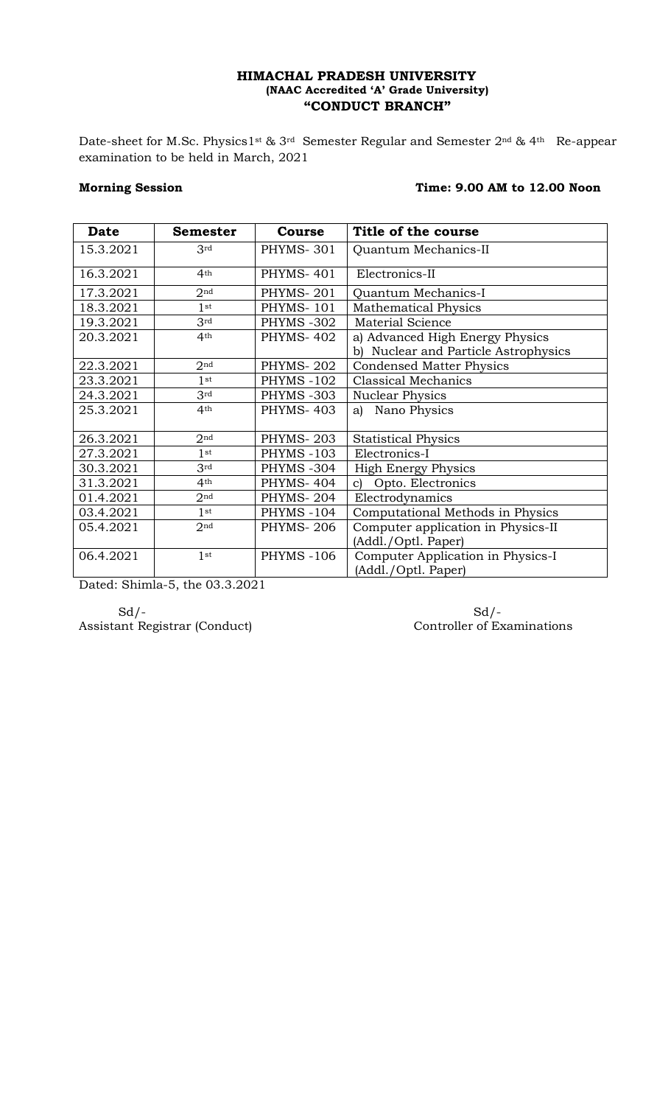Date-sheet for M.Sc. Physics1<sup>st & 3rd</sup> Semester Regular and Semester 2<sup>nd & 4th</sup> Re-appear examination to be held in March, 2021

# Morning Session **Morning Session** Time: 9.00 AM to 12.00 Noon

| <b>Date</b> | <b>Semester</b> | Course            | Title of the course                                                     |
|-------------|-----------------|-------------------|-------------------------------------------------------------------------|
| 15.3.2021   | 3rd             | <b>PHYMS-301</b>  | Quantum Mechanics-II                                                    |
| 16.3.2021   | 4 <sup>th</sup> | PHYMS-401         | Electronics-II                                                          |
| 17.3.2021   | 2 <sub>nd</sub> | PHYMS-201         | Quantum Mechanics-I                                                     |
| 18.3.2021   | 1st             | <b>PHYMS-101</b>  | <b>Mathematical Physics</b>                                             |
| 19.3.2021   | 3rd             | PHYMS-302         | <b>Material Science</b>                                                 |
| 20.3.2021   | 4 <sup>th</sup> | <b>PHYMS-402</b>  | a) Advanced High Energy Physics<br>b) Nuclear and Particle Astrophysics |
| 22.3.2021   | 2 <sub>nd</sub> | <b>PHYMS-202</b>  | <b>Condensed Matter Physics</b>                                         |
| 23.3.2021   | 1st             | <b>PHYMS -102</b> | <b>Classical Mechanics</b>                                              |
| 24.3.2021   | 3 <sup>rd</sup> | PHYMS-303         | <b>Nuclear Physics</b>                                                  |
| 25.3.2021   | 4 <sup>th</sup> | <b>PHYMS-403</b>  | a) Nano Physics                                                         |
| 26.3.2021   | 2 <sub>nd</sub> | <b>PHYMS-203</b>  | <b>Statistical Physics</b>                                              |
| 27.3.2021   | 1st             | <b>PHYMS-103</b>  | Electronics-I                                                           |
| 30.3.2021   | 3rd             | PHYMS-304         | <b>High Energy Physics</b>                                              |
| 31.3.2021   | 4 <sup>th</sup> | <b>PHYMS-404</b>  | Opto. Electronics<br>$\mathbf{C}$                                       |
| 01.4.2021   | 2 <sub>nd</sub> | PHYMS-204         | Electrodynamics                                                         |
| 03.4.2021   | $1$ st          | <b>PHYMS -104</b> | Computational Methods in Physics                                        |
| 05.4.2021   | 2 <sub>nd</sub> | <b>PHYMS-206</b>  | Computer application in Physics-II                                      |
|             |                 |                   | (Addl./Optl. Paper)                                                     |
| 06.4.2021   | 1 <sup>st</sup> | <b>PHYMS -106</b> | Computer Application in Physics-I<br>(Addl./Optl. Paper)                |

Dated: Shimla-5, the 03.3.2021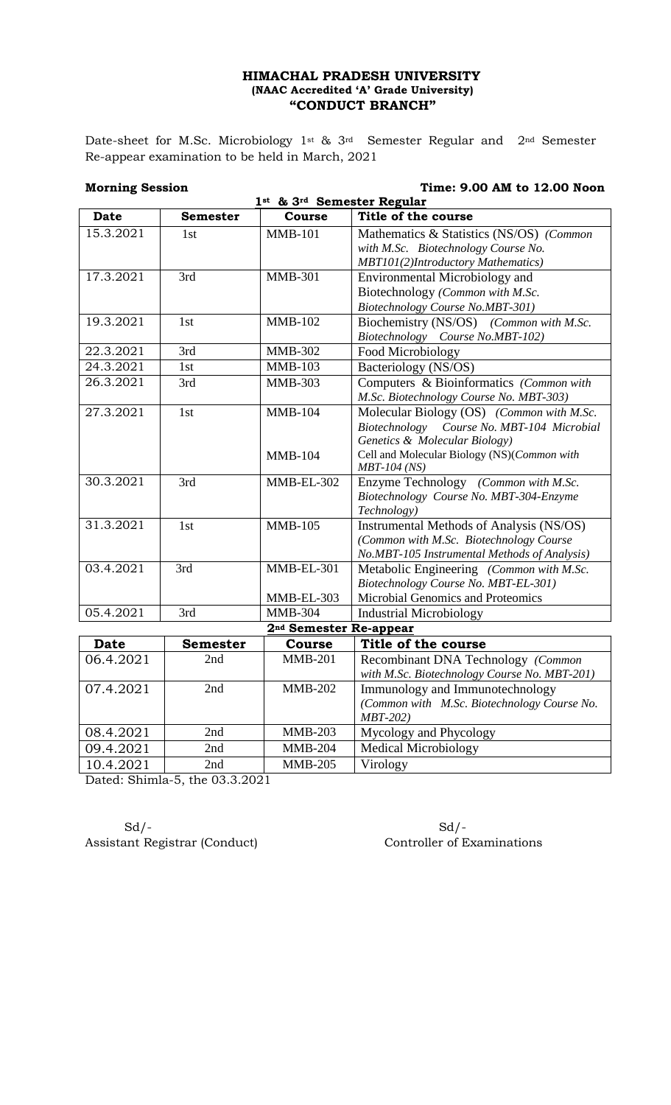Date-sheet for M.Sc. Microbiology 1st & 3rd Semester Regular and 2nd Semester Re-appear examination to be held in March, 2021

**Morning Session 2.00 AM to 12.00 Noon** 

| 1st & 3rd Semester Regular |                 |                                    |                                                                                         |
|----------------------------|-----------------|------------------------------------|-----------------------------------------------------------------------------------------|
| <b>Date</b>                | <b>Semester</b> | <b>Course</b>                      | Title of the course                                                                     |
| 15.3.2021                  | 1 <sub>st</sub> | <b>MMB-101</b>                     | Mathematics & Statistics (NS/OS) (Common                                                |
|                            |                 |                                    | with M.Sc. Biotechnology Course No.                                                     |
|                            |                 |                                    | MBT101(2)Introductory Mathematics)                                                      |
| 17.3.2021                  | 3rd             | <b>MMB-301</b>                     | <b>Environmental Microbiology and</b>                                                   |
|                            |                 |                                    | Biotechnology (Common with M.Sc.                                                        |
|                            |                 |                                    | Biotechnology Course No.MBT-301)                                                        |
| 19.3.2021                  | 1st             | $MMB-102$                          | Biochemistry (NS/OS) (Common with M.Sc.                                                 |
|                            |                 |                                    | Biotechnology Course No.MBT-102)                                                        |
| 22.3.2021                  | 3rd             | <b>MMB-302</b>                     | Food Microbiology                                                                       |
| 24.3.2021                  | 1st             | <b>MMB-103</b>                     | Bacteriology (NS/OS)                                                                    |
| 26.3.2021                  | 3rd             | <b>MMB-303</b>                     | Computers & Bioinformatics (Common with                                                 |
|                            |                 |                                    | M.Sc. Biotechnology Course No. MBT-303)                                                 |
| 27.3.2021                  | 1st             | <b>MMB-104</b>                     | Molecular Biology (OS) (Common with M.Sc.                                               |
|                            |                 |                                    | Biotechnology Course No. MBT-104 Microbial                                              |
|                            |                 |                                    | Genetics & Molecular Biology)                                                           |
|                            |                 | <b>MMB-104</b>                     | Cell and Molecular Biology (NS)(Common with                                             |
|                            |                 |                                    | <i>MBT-104 (NS)</i>                                                                     |
| 30.3.2021                  | 3rd             | MMB-EL-302                         | Enzyme Technology (Common with M.Sc.                                                    |
|                            |                 |                                    | Biotechnology Course No. MBT-304-Enzyme                                                 |
| 31.3.2021                  | 1st             | $MMB-105$                          | Technology)                                                                             |
|                            |                 |                                    | Instrumental Methods of Analysis (NS/OS)                                                |
|                            |                 |                                    | (Common with M.Sc. Biotechnology Course<br>No.MBT-105 Instrumental Methods of Analysis) |
| 03.4.2021                  | 3rd             | MMB-EL-301                         | Metabolic Engineering (Common with M.Sc.                                                |
|                            |                 |                                    | Biotechnology Course No. MBT-EL-301)                                                    |
|                            |                 | MMB-EL-303                         | Microbial Genomics and Proteomics                                                       |
| 05.4.2021                  | 3rd             | <b>MMB-304</b>                     | <b>Industrial Microbiology</b>                                                          |
|                            |                 | 2 <sup>nd</sup> Semester Re-appear |                                                                                         |
| <b>Date</b>                | <b>Semester</b> | <b>Course</b>                      | Title of the course                                                                     |
| 06.4.2021                  | 2nd             | <b>MMB-201</b>                     | Recombinant DNA Technology (Common                                                      |
|                            |                 |                                    | with M.Sc. Biotechnology Course No. MBT-201)                                            |
| 07.4.2021                  | 2nd             | <b>MMB-202</b>                     | Immunology and Immunotechnology                                                         |
|                            |                 |                                    | (Common with M.Sc. Biotechnology Course No.                                             |
|                            |                 |                                    | $MBT-202$ )                                                                             |
| 08.4.2021                  | 2nd             | <b>MMB-203</b>                     | Mycology and Phycology                                                                  |
| 09.4.2021                  | 2nd             | <b>MMB-204</b>                     | <b>Medical Microbiology</b>                                                             |
| 10.4.2021                  | 2nd             | <b>MMB-205</b>                     | Virology                                                                                |

Dated: Shimla-5, the 03.3.2021